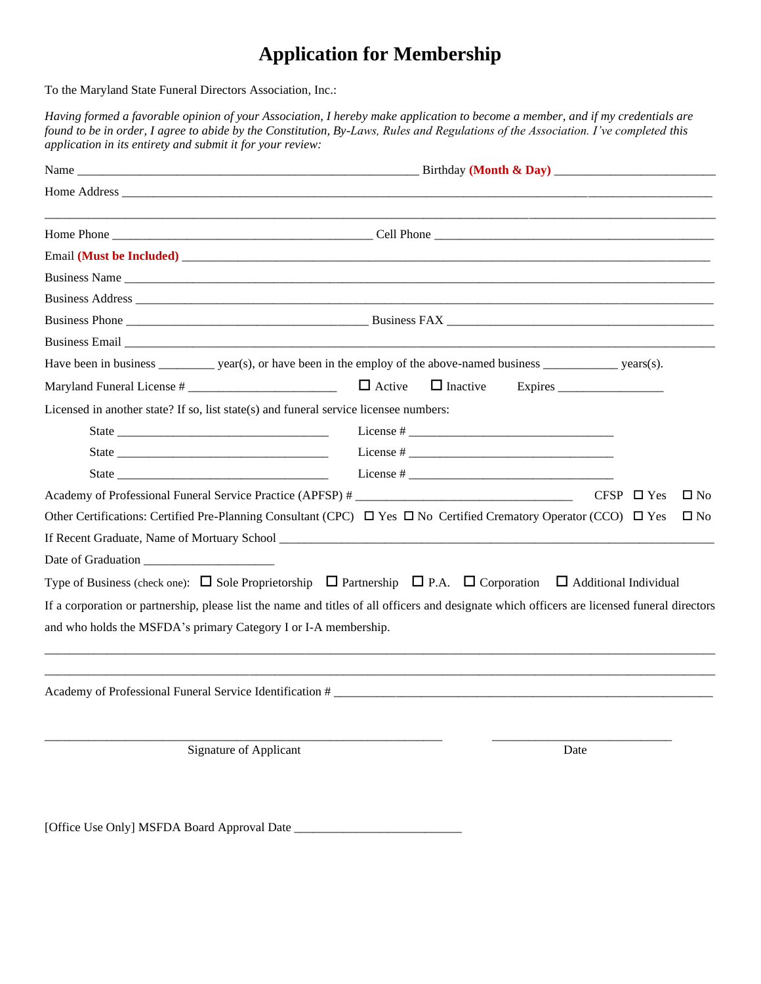# **Application for Membership**

To the Maryland State Funeral Directors Association, Inc.:

*Having formed a favorable opinion of your Association, I hereby make application to become a member, and if my credentials are found to be in order, I agree to abide by the Constitution, By-Laws, Rules and Regulations of the Association. I've completed this application in its entirety and submit it for your review:*

| Business Email experience and the contract of the contract of the contract of the contract of the contract of the contract of the contract of the contract of the contract of the contract of the contract of the contract of  |                                                                                                                                                                                     |  |  |
|--------------------------------------------------------------------------------------------------------------------------------------------------------------------------------------------------------------------------------|-------------------------------------------------------------------------------------------------------------------------------------------------------------------------------------|--|--|
|                                                                                                                                                                                                                                | Have been in business ___________ year(s), or have been in the employ of the above-named business ____________ years(s).                                                            |  |  |
|                                                                                                                                                                                                                                | $\Box$ Active<br>$\Box$ Inactive<br>Expires                                                                                                                                         |  |  |
| Licensed in another state? If so, list state(s) and funeral service licensee numbers:                                                                                                                                          |                                                                                                                                                                                     |  |  |
| State State is a state of the state of the state of the state of the state of the state of the state of the state of the state of the state of the state of the state of the state of the state of the state of the state of t |                                                                                                                                                                                     |  |  |
|                                                                                                                                                                                                                                |                                                                                                                                                                                     |  |  |
|                                                                                                                                                                                                                                |                                                                                                                                                                                     |  |  |
|                                                                                                                                                                                                                                | CFSP $\Box$ Yes<br>$\square$ No<br>Other Certifications: Certified Pre-Planning Consultant (CPC) $\Box$ Yes $\Box$ No Certified Crematory Operator (CCO) $\Box$ Yes<br>$\square$ No |  |  |
|                                                                                                                                                                                                                                | Type of Business (check one): $\Box$ Sole Proprietorship $\Box$ Partnership $\Box$ P.A. $\Box$ Corporation $\Box$ Additional Individual                                             |  |  |
| and who holds the MSFDA's primary Category I or I-A membership.                                                                                                                                                                | If a corporation or partnership, please list the name and titles of all officers and designate which officers are licensed funeral directors                                        |  |  |
|                                                                                                                                                                                                                                |                                                                                                                                                                                     |  |  |
| Signature of Applicant                                                                                                                                                                                                         | Date                                                                                                                                                                                |  |  |

[Office Use Only] MSFDA Board Approval Date \_\_\_\_\_\_\_\_\_\_\_\_\_\_\_\_\_\_\_\_\_\_\_\_\_\_\_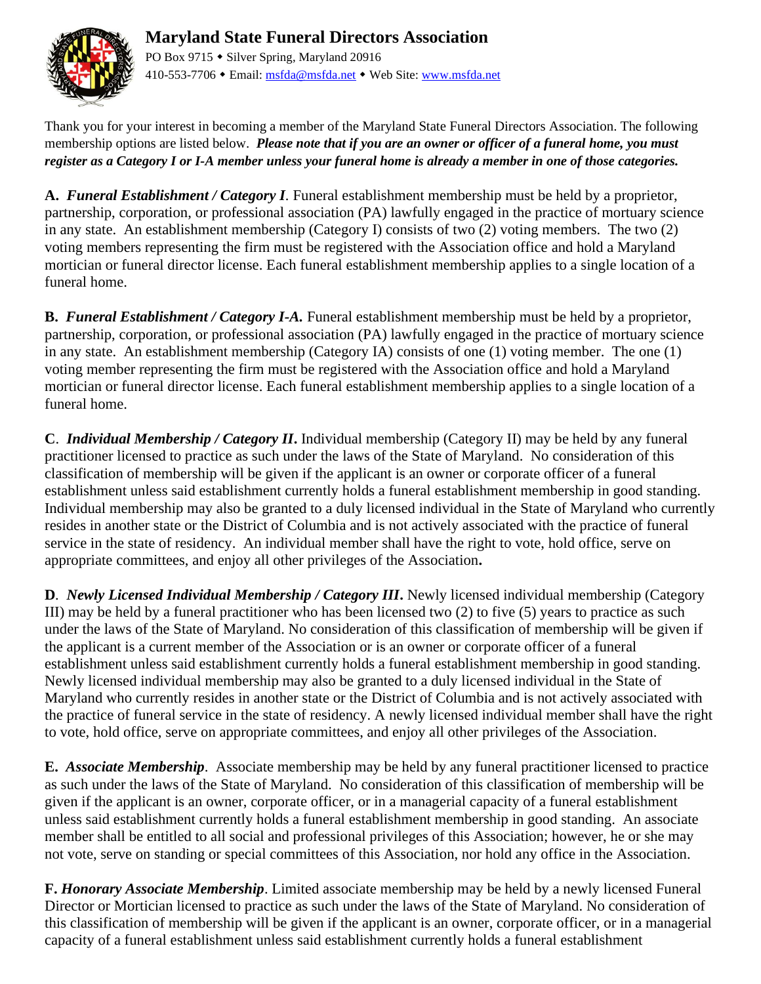

## **Maryland State Funeral Directors Association** PO Box 9715 • Silver Spring, Maryland 20916

410-553-7706 • Email[: msfda@msfda.net](mailto:msfda@msfda.net) • Web Site: [www.msfda.net](http://www.msfda.net/)

Thank you for your interest in becoming a member of the Maryland State Funeral Directors Association. The following membership options are listed below. *Please note that if you are an owner or officer of a funeral home, you must register as a Category I or I-A member unless your funeral home is already a member in one of those categories.*

**A.** *Funeral Establishment / Category I.* Funeral establishment membership must be held by a proprietor, partnership, corporation, or professional association (PA) lawfully engaged in the practice of mortuary science in any state. An establishment membership (Category I) consists of two (2) voting members. The two (2) voting members representing the firm must be registered with the Association office and hold a Maryland mortician or funeral director license. Each funeral establishment membership applies to a single location of a funeral home.

**B.** *Funeral Establishment / Category I-A.* Funeral establishment membership must be held by a proprietor, partnership, corporation, or professional association (PA) lawfully engaged in the practice of mortuary science in any state. An establishment membership (Category IA) consists of one (1) voting member. The one (1) voting member representing the firm must be registered with the Association office and hold a Maryland mortician or funeral director license. Each funeral establishment membership applies to a single location of a funeral home.

**C**.*Individual Membership / Category II***.** Individual membership (Category II) may be held by any funeral practitioner licensed to practice as such under the laws of the State of Maryland. No consideration of this classification of membership will be given if the applicant is an owner or corporate officer of a funeral establishment unless said establishment currently holds a funeral establishment membership in good standing. Individual membership may also be granted to a duly licensed individual in the State of Maryland who currently resides in another state or the District of Columbia and is not actively associated with the practice of funeral service in the state of residency. An individual member shall have the right to vote, hold office, serve on appropriate committees, and enjoy all other privileges of the Association**.**

**D***. Newly Licensed Individual Membership / Category III***.** Newly licensed individual membership (Category III) may be held by a funeral practitioner who has been licensed two (2) to five (5) years to practice as such under the laws of the State of Maryland. No consideration of this classification of membership will be given if the applicant is a current member of the Association or is an owner or corporate officer of a funeral establishment unless said establishment currently holds a funeral establishment membership in good standing. Newly licensed individual membership may also be granted to a duly licensed individual in the State of Maryland who currently resides in another state or the District of Columbia and is not actively associated with the practice of funeral service in the state of residency. A newly licensed individual member shall have the right to vote, hold office, serve on appropriate committees, and enjoy all other privileges of the Association.

**E.** *Associate Membership*. Associate membership may be held by any funeral practitioner licensed to practice as such under the laws of the State of Maryland. No consideration of this classification of membership will be given if the applicant is an owner, corporate officer, or in a managerial capacity of a funeral establishment unless said establishment currently holds a funeral establishment membership in good standing. An associate member shall be entitled to all social and professional privileges of this Association; however, he or she may not vote, serve on standing or special committees of this Association, nor hold any office in the Association.

**F.** *Honorary Associate Membership*. Limited associate membership may be held by a newly licensed Funeral Director or Mortician licensed to practice as such under the laws of the State of Maryland. No consideration of this classification of membership will be given if the applicant is an owner, corporate officer, or in a managerial capacity of a funeral establishment unless said establishment currently holds a funeral establishment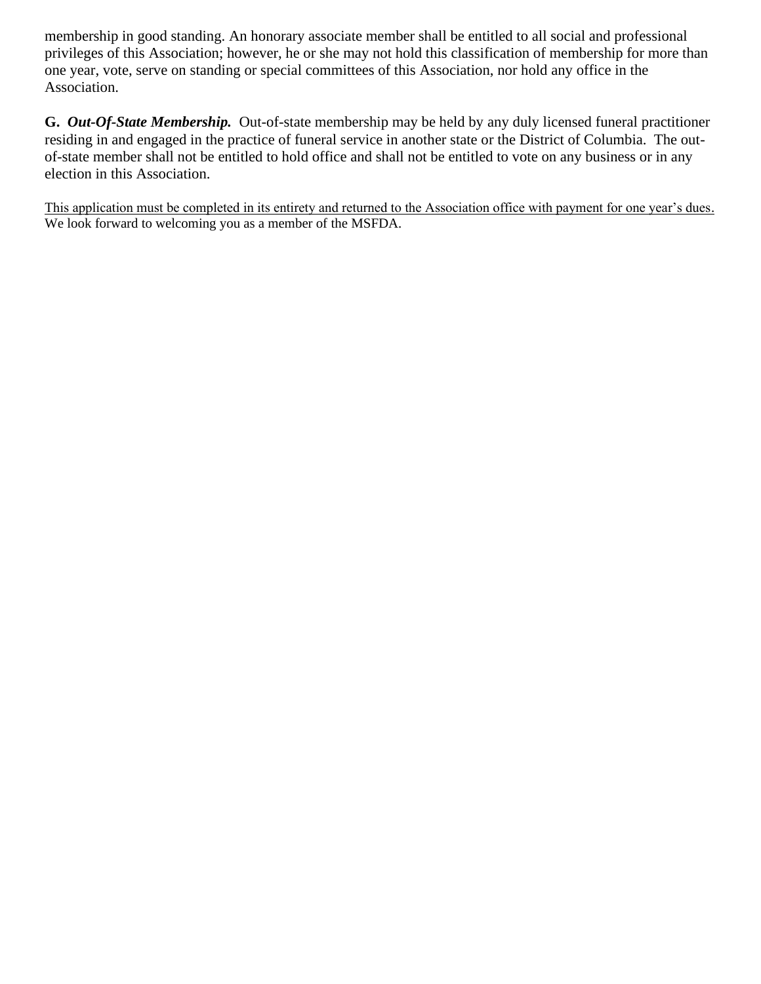membership in good standing. An honorary associate member shall be entitled to all social and professional privileges of this Association; however, he or she may not hold this classification of membership for more than one year, vote, serve on standing or special committees of this Association, nor hold any office in the Association.

**G.** *Out-Of-State Membership.* Out-of-state membership may be held by any duly licensed funeral practitioner residing in and engaged in the practice of funeral service in another state or the District of Columbia. The outof-state member shall not be entitled to hold office and shall not be entitled to vote on any business or in any election in this Association.

This application must be completed in its entirety and returned to the Association office with payment for one year's dues. We look forward to welcoming you as a member of the MSFDA.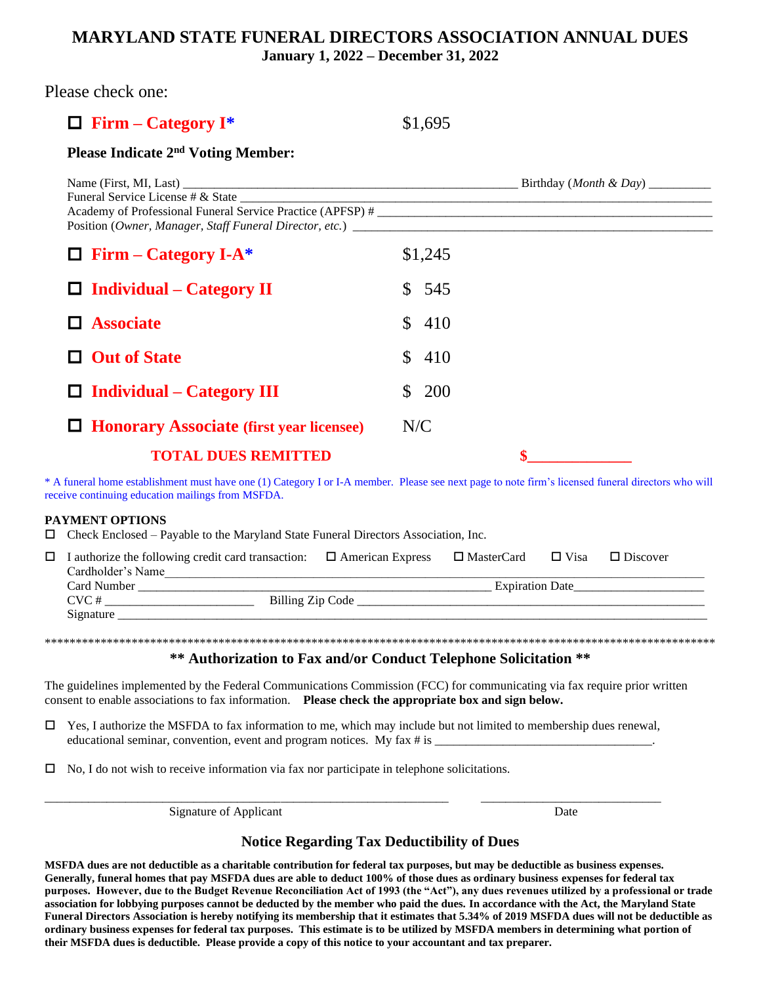## **MARYLAND STATE FUNERAL DIRECTORS ASSOCIATION ANNUAL DUES January 1, 2022 – December 31, 2022**

Please check one:

# **Firm – Category I\*** \$1,695

## **Please Indicate 2nd Voting Member:**

| Academy of Professional Funeral Service Practice (APFSP) # |                     |  |
|------------------------------------------------------------|---------------------|--|
| $\Box$ Firm – Category I-A*                                | \$1,245             |  |
| $\Box$ Individual – Category II                            | \$545               |  |
| $\Box$ Associate                                           | \$410               |  |
| $\Box$ Out of State                                        | $\mathbb{S}$<br>410 |  |
| $\Box$ Individual – Category III                           | 200<br>S.           |  |
| $\Box$ Honorary Associate (first year licensee)            | N/C                 |  |
| <b>TOTAL DUES REMITTED</b>                                 |                     |  |

\* A funeral home establishment must have one (1) Category I or I-A member. Please see next page to note firm's licensed funeral directors who will receive continuing education mailings from MSFDA.

#### **PAYMENT OPTIONS**

 $\Box$  Check Enclosed – Payable to the Maryland State Funeral Directors Association, Inc.

| $\Box$ I authorize the following credit card transaction: $\Box$ American Express |  | $\Box$ MasterCard $\Box$ Visa | $\Box$ Discover |
|-----------------------------------------------------------------------------------|--|-------------------------------|-----------------|
| Cardholder's Name                                                                 |  |                               |                 |
| Card Number                                                                       |  | <b>Expiration Date</b>        |                 |
| CVC#<br>Billing Zip Code                                                          |  |                               |                 |
| Signature                                                                         |  |                               |                 |

\*\*\*\*\*\*\*\*\*\*\*\*\*\*\*\*\*\*\*\*\*\*\*\*\*\*\*\*\*\*\*\*\*\*\*\*\*\*\*\*\*\*\*\*\*\*\*\*\*\*\*\*\*\*\*\*\*\*\*\*\*\*\*\*\*\*\*\*\*\*\*\*\*\*\*\*\*\*\*\*\*\*\*\*\*\*\*\*\*\*\*\*\*\*\*\*\*\*\*\*\*\*\*\*\*\*\*\*

#### **\*\* Authorization to Fax and/or Conduct Telephone Solicitation \*\***

The guidelines implemented by the Federal Communications Commission (FCC) for communicating via fax require prior written consent to enable associations to fax information. **Please check the appropriate box and sign below.**

 $\Box$  Yes, I authorize the MSFDA to fax information to me, which may include but not limited to membership dues renewal, educational seminar, convention, event and program notices. My fax  $\#$  is

\_\_\_\_\_\_\_\_\_\_\_\_\_\_\_\_\_\_\_\_\_\_\_\_\_\_\_\_\_\_\_\_\_\_\_\_\_\_\_\_\_\_\_\_\_\_\_\_\_\_\_\_\_\_\_\_\_\_\_\_\_\_\_\_\_ \_\_\_\_\_\_\_\_\_\_\_\_\_\_\_\_\_\_\_\_\_\_\_\_\_\_\_\_\_

 $\Box$  No, I do not wish to receive information via fax nor participate in telephone solicitations.

Signature of Applicant Date

## **Notice Regarding Tax Deductibility of Dues**

**MSFDA dues are not deductible as a charitable contribution for federal tax purposes, but may be deductible as business expenses. Generally, funeral homes that pay MSFDA dues are able to deduct 100% of those dues as ordinary business expenses for federal tax purposes. However, due to the Budget Revenue Reconciliation Act of 1993 (the "Act"), any dues revenues utilized by a professional or trade association for lobbying purposes cannot be deducted by the member who paid the dues. In accordance with the Act, the Maryland State Funeral Directors Association is hereby notifying its membership that it estimates that 5.34% of 2019 MSFDA dues will not be deductible as ordinary business expenses for federal tax purposes. This estimate is to be utilized by MSFDA members in determining what portion of their MSFDA dues is deductible. Please provide a copy of this notice to your accountant and tax preparer.**